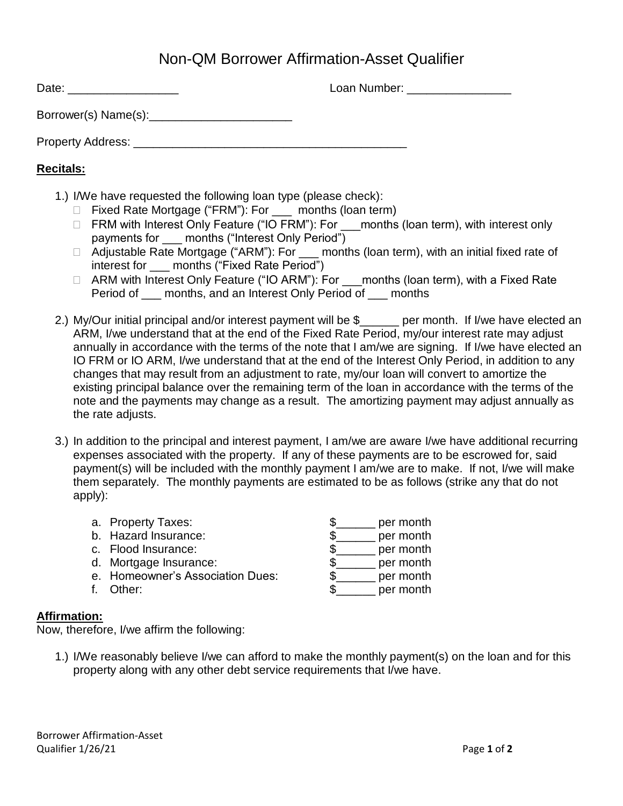## Non-QM Borrower Affirmation-Asset Qualifier

Date: \_\_\_\_\_\_\_\_\_\_\_\_\_\_\_\_\_ Loan Number: \_\_\_\_\_\_\_\_\_\_\_\_\_\_\_\_ Borrower(s) Name(s): Property Address: \_\_\_\_\_\_\_\_\_\_\_\_\_\_\_\_\_\_\_\_\_\_\_\_\_\_\_\_\_\_\_\_\_\_\_\_\_\_\_\_\_\_

## **Recitals:**

- 1.) I/We have requested the following loan type (please check):
	- □ Fixed Rate Mortgage ("FRM"): For \_\_\_ months (loan term)
	- □ FRM with Interest Only Feature ("IO FRM"): For months (loan term), with interest only payments for months ("Interest Only Period")
	- □ Adjustable Rate Mortgage ("ARM"): For \_\_\_ months (loan term), with an initial fixed rate of interest for months ("Fixed Rate Period")
	- □ ARM with Interest Only Feature ("IO ARM"): For months (loan term), with a Fixed Rate Period of \_\_\_ months, and an Interest Only Period of \_\_\_ months
- 2.) My/Our initial principal and/or interest payment will be \$\_\_\_\_\_\_ per month. If I/we have elected an ARM, I/we understand that at the end of the Fixed Rate Period, my/our interest rate may adjust annually in accordance with the terms of the note that I am/we are signing. If I/we have elected an IO FRM or IO ARM, I/we understand that at the end of the Interest Only Period, in addition to any changes that may result from an adjustment to rate, my/our loan will convert to amortize the existing principal balance over the remaining term of the loan in accordance with the terms of the note and the payments may change as a result. The amortizing payment may adjust annually as the rate adjusts.
- 3.) In addition to the principal and interest payment, I am/we are aware I/we have additional recurring expenses associated with the property. If any of these payments are to be escrowed for, said payment(s) will be included with the monthly payment I am/we are to make. If not, I/we will make them separately. The monthly payments are estimated to be as follows (strike any that do not apply):

| a. Property Taxes:               | per month |
|----------------------------------|-----------|
| b. Hazard Insurance:             | per month |
| c. Flood Insurance:              | per month |
| d. Mortgage Insurance:           | per month |
| e. Homeowner's Association Dues: | per month |
| Other:                           | per month |
|                                  |           |

## **Affirmation:**

Now, therefore, I/we affirm the following:

1.) I/We reasonably believe I/we can afford to make the monthly payment(s) on the loan and for this property along with any other debt service requirements that I/we have.